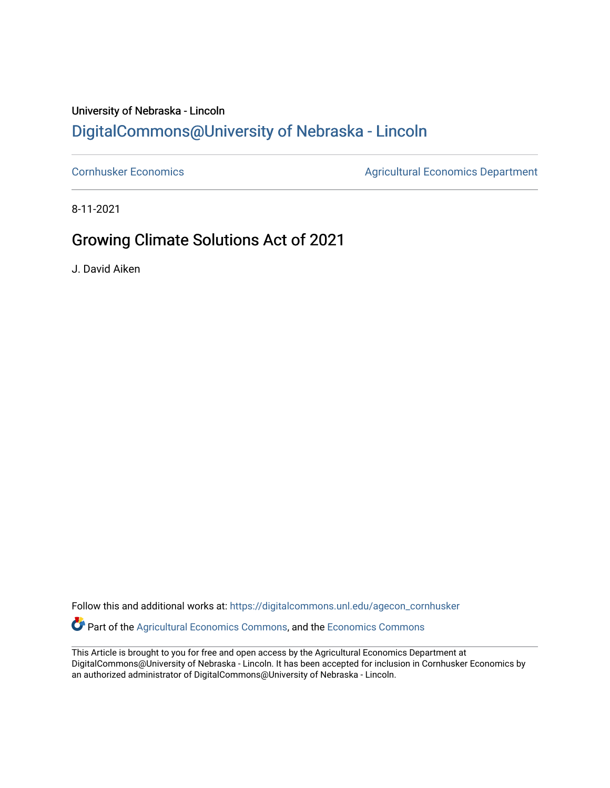## University of Nebraska - Lincoln [DigitalCommons@University of Nebraska - Lincoln](https://digitalcommons.unl.edu/)

[Cornhusker Economics](https://digitalcommons.unl.edu/agecon_cornhusker) **Agricultural Economics** Department

8-11-2021

## Growing Climate Solutions Act of 2021

J. David Aiken

Follow this and additional works at: [https://digitalcommons.unl.edu/agecon\\_cornhusker](https://digitalcommons.unl.edu/agecon_cornhusker?utm_source=digitalcommons.unl.edu%2Fagecon_cornhusker%2F1115&utm_medium=PDF&utm_campaign=PDFCoverPages)  Part of the [Agricultural Economics Commons,](http://network.bepress.com/hgg/discipline/1225?utm_source=digitalcommons.unl.edu%2Fagecon_cornhusker%2F1115&utm_medium=PDF&utm_campaign=PDFCoverPages) and the [Economics Commons](http://network.bepress.com/hgg/discipline/340?utm_source=digitalcommons.unl.edu%2Fagecon_cornhusker%2F1115&utm_medium=PDF&utm_campaign=PDFCoverPages) 

This Article is brought to you for free and open access by the Agricultural Economics Department at DigitalCommons@University of Nebraska - Lincoln. It has been accepted for inclusion in Cornhusker Economics by an authorized administrator of DigitalCommons@University of Nebraska - Lincoln.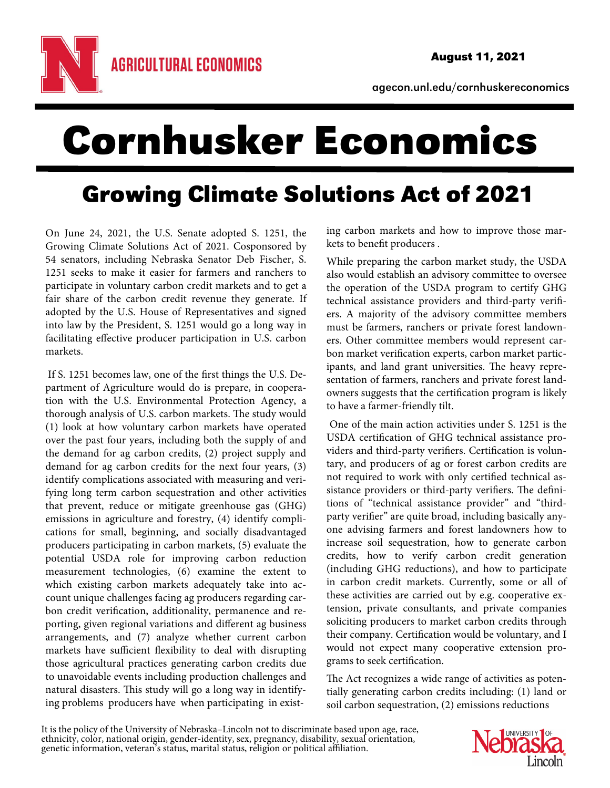agecon.unl.edu/cornhuskereconomics

# Crowing Climate Solutions Act of 2021 Growing Climate Solutions Act of 2021

On June 24, 2021, the U.S. Senate adopted S. 1251, the Growing Climate Solutions Act of 2021. Cosponsored by 54 senators, including Nebraska Senator Deb Fischer, S. 1251 seeks to make it easier for farmers and ranchers to participate in voluntary carbon credit markets and to get a fair share of the carbon credit revenue they generate. If adopted by the U.S. House of Representatives and signed into law by the President, S. 1251 would go a long way in facilitating effective producer participation in U.S. carbon markets.

 If S. 1251 becomes law, one of the first things the U.S. Department of Agriculture would do is prepare, in cooperation with the U.S. Environmental Protection Agency, a thorough analysis of U.S. carbon markets. The study would (1) look at how voluntary carbon markets have operated over the past four years, including both the supply of and the demand for ag carbon credits, (2) project supply and demand for ag carbon credits for the next four years, (3) identify complications associated with measuring and verifying long term carbon sequestration and other activities that prevent, reduce or mitigate greenhouse gas (GHG) emissions in agriculture and forestry, (4) identify complications for small, beginning, and socially disadvantaged producers participating in carbon markets, (5) evaluate the potential USDA role for improving carbon reduction measurement technologies, (6) examine the extent to which existing carbon markets adequately take into account unique challenges facing ag producers regarding carbon credit verification, additionality, permanence and reporting, given regional variations and different ag business arrangements, and (7) analyze whether current carbon markets have sufficient flexibility to deal with disrupting those agricultural practices generating carbon credits due to unavoidable events including production challenges and natural disasters. This study will go a long way in identifying problems producers have when participating in existing carbon markets and how to improve those markets to benefit producers .

While preparing the carbon market study, the USDA also would establish an advisory committee to oversee the operation of the USDA program to certify GHG technical assistance providers and third-party verifiers. A majority of the advisory committee members must be farmers, ranchers or private forest landowners. Other committee members would represent carbon market verification experts, carbon market participants, and land grant universities. The heavy representation of farmers, ranchers and private forest landowners suggests that the certification program is likely to have a farmer-friendly tilt.

 One of the main action activities under S. 1251 is the USDA certification of GHG technical assistance providers and third-party verifiers. Certification is voluntary, and producers of ag or forest carbon credits are not required to work with only certified technical assistance providers or third-party verifiers. The definitions of "technical assistance provider" and "thirdparty verifier" are quite broad, including basically anyone advising farmers and forest landowners how to increase soil sequestration, how to generate carbon credits, how to verify carbon credit generation (including GHG reductions), and how to participate in carbon credit markets. Currently, some or all of these activities are carried out by e.g. cooperative extension, private consultants, and private companies soliciting producers to market carbon credits through their company. Certification would be voluntary, and I would not expect many cooperative extension programs to seek certification.

The Act recognizes a wide range of activities as potentially generating carbon credits including: (1) land or soil carbon sequestration, (2) emissions reductions

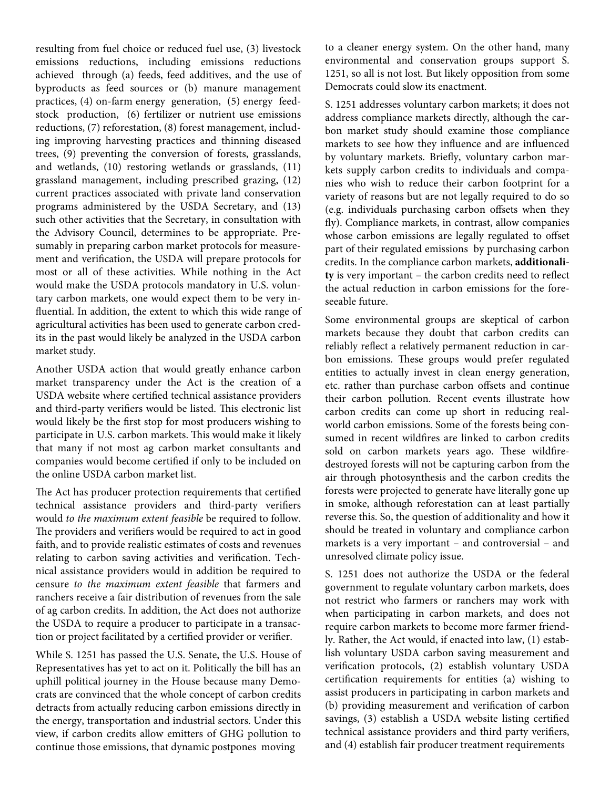resulting from fuel choice or reduced fuel use, (3) livestock emissions reductions, including emissions reductions achieved through (a) feeds, feed additives, and the use of byproducts as feed sources or (b) manure management practices, (4) on-farm energy generation, (5) energy feedstock production, (6) fertilizer or nutrient use emissions reductions, (7) reforestation, (8) forest management, including improving harvesting practices and thinning diseased trees, (9) preventing the conversion of forests, grasslands, and wetlands, (10) restoring wetlands or grasslands, (11) grassland management, including prescribed grazing, (12) current practices associated with private land conservation programs administered by the USDA Secretary, and (13) such other activities that the Secretary, in consultation with the Advisory Council, determines to be appropriate. Presumably in preparing carbon market protocols for measurement and verification, the USDA will prepare protocols for most or all of these activities. While nothing in the Act would make the USDA protocols mandatory in U.S. voluntary carbon markets, one would expect them to be very influential. In addition, the extent to which this wide range of agricultural activities has been used to generate carbon credits in the past would likely be analyzed in the USDA carbon market study.

Another USDA action that would greatly enhance carbon market transparency under the Act is the creation of a USDA website where certified technical assistance providers and third-party verifiers would be listed. This electronic list would likely be the first stop for most producers wishing to participate in U.S. carbon markets. This would make it likely that many if not most ag carbon market consultants and companies would become certified if only to be included on the online USDA carbon market list.

The Act has producer protection requirements that certified technical assistance providers and third-party verifiers would *to the maximum extent feasible* be required to follow. The providers and verifiers would be required to act in good faith, and to provide realistic estimates of costs and revenues relating to carbon saving activities and verification. Technical assistance providers would in addition be required to censure *to the maximum extent feasible* that farmers and ranchers receive a fair distribution of revenues from the sale of ag carbon credits. In addition, the Act does not authorize the USDA to require a producer to participate in a transaction or project facilitated by a certified provider or verifier.

While S. 1251 has passed the U.S. Senate, the U.S. House of Representatives has yet to act on it. Politically the bill has an uphill political journey in the House because many Democrats are convinced that the whole concept of carbon credits detracts from actually reducing carbon emissions directly in the energy, transportation and industrial sectors. Under this view, if carbon credits allow emitters of GHG pollution to continue those emissions, that dynamic postpones moving

to a cleaner energy system. On the other hand, many environmental and conservation groups support S. 1251, so all is not lost. But likely opposition from some Democrats could slow its enactment.

S. 1251 addresses voluntary carbon markets; it does not address compliance markets directly, although the carbon market study should examine those compliance markets to see how they influence and are influenced by voluntary markets. Briefly, voluntary carbon markets supply carbon credits to individuals and companies who wish to reduce their carbon footprint for a variety of reasons but are not legally required to do so (e.g. individuals purchasing carbon offsets when they fly). Compliance markets, in contrast, allow companies whose carbon emissions are legally regulated to offset part of their regulated emissions by purchasing carbon credits. In the compliance carbon markets, **additionality** is very important – the carbon credits need to reflect the actual reduction in carbon emissions for the foreseeable future.

Some environmental groups are skeptical of carbon markets because they doubt that carbon credits can reliably reflect a relatively permanent reduction in carbon emissions. These groups would prefer regulated entities to actually invest in clean energy generation, etc. rather than purchase carbon offsets and continue their carbon pollution. Recent events illustrate how carbon credits can come up short in reducing realworld carbon emissions. Some of the forests being consumed in recent wildfires are linked to carbon credits sold on carbon markets years ago. These wildfiredestroyed forests will not be capturing carbon from the air through photosynthesis and the carbon credits the forests were projected to generate have literally gone up in smoke, although reforestation can at least partially reverse this. So, the question of additionality and how it should be treated in voluntary and compliance carbon markets is a very important – and controversial – and unresolved climate policy issue.

S. 1251 does not authorize the USDA or the federal government to regulate voluntary carbon markets, does not restrict who farmers or ranchers may work with when participating in carbon markets, and does not require carbon markets to become more farmer friendly. Rather, the Act would, if enacted into law, (1) establish voluntary USDA carbon saving measurement and verification protocols, (2) establish voluntary USDA certification requirements for entities (a) wishing to assist producers in participating in carbon markets and (b) providing measurement and verification of carbon savings, (3) establish a USDA website listing certified technical assistance providers and third party verifiers, and (4) establish fair producer treatment requirements